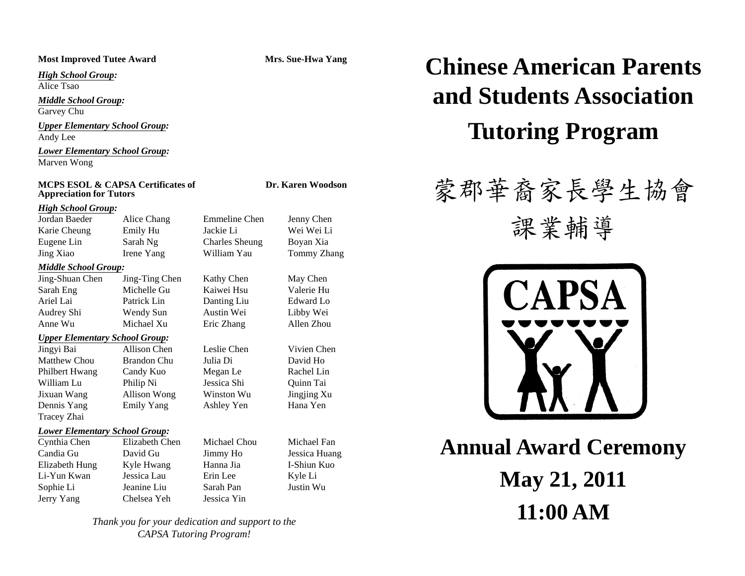*High School Group:*

Alice Tsao

*Middle School Group:*

Garvey Chu

*Upper Elementary School Group:*

*Lower Elementary School Group:* Marven Wong

#### **MCPS ESOL & CAPSA Certificates of Let UP. Karen Woodson Appreciation for Tutors**

#### *High School Group:*

Eugene Lin Sarah Ng Charles Sheung Boyan Xia Jing Xiao Irene Yang William Yau Tommy Zhang

#### *Middle School Group:*

Jing-Shuan Chen Jing-Ting Chen Kathy Chen May Chen Sarah E Eng Michelle Gu Ariel Lai Patrick Lin Danting Liu Edward Lo Audrey Shi Wendy Sun Austin Wei Libby Wei Anne Wu Michael Xu Eric Zhang Allen Zhou

### *Upper Elementary School Group:*

Matthew ChouPhilbert Hwang Candy Kuo Megan Le Rachel Lin William Lu Philip Ni Jessica Shi Quinn Tai Jixuan Wang Allison Wong Winston Wu Jingjing Xu Dennis Yang Emily Yang Ashley Yen Hana Yen Tracey Zhai

#### *Lower Elementary School Group:*

Cynthia Chen Elizabeth Chen Michael Chou Michael Fan Candia Gu David Gu Jimmy Ho Jessica Huang Elizabeth Hung Kyle Hwang Hanna Jia I-Shiun Kuo Li-Yun Kwan Jessica Lau Erin Lee Kyle Li Sophie Li Jeanine Liu Sarah Pan Justin Wu Jerry Yang Chelsea Yeh Jessica Yin

u Kaiwei Hsu

Jingyi Bai Allison Chen Leslie Chen Vivien Chen Brandon Chu Julia Di David Ho

u Valerie Hu

*Thank you for your dedication and support to the CAPSA Tutoring Program!*

## Most Improved Tutee Award Mrs. Sue-Hwa Yang Chinese American Parents  $GI$ **and Students Association** $\frac{Upper \: Elementary \: School \: Group:}{Theorem \: 2.13}$

# 蒙郡華裔家長學生協會

Jordan Baeder Alice Chang Emmeline Chen Jenny Chen<br>Karie Cheung Emily Hu Jackie Li Wei Wei Li<br>Engeneties Steph Nu Checks Number Processing



**Annual Award Ceremony May 21, 2011 11:00 AM**